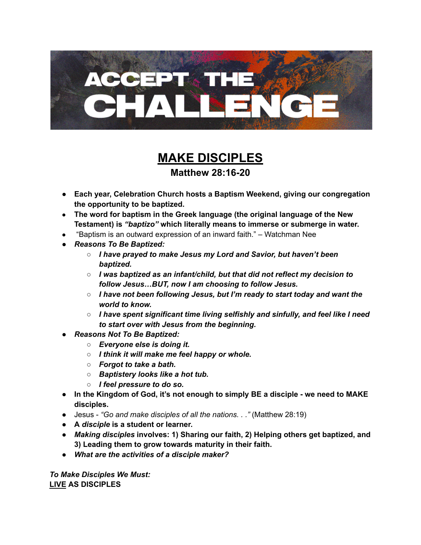

## **MAKE DISCIPLES Matthew 28:16-20**

- **● Each year, Celebration Church hosts a Baptism Weekend, giving our congregation the opportunity to be baptized.**
- **● The word for baptism in the Greek language (the original language of the New Testament) is** *"baptizo"* **which literally means to immerse or submerge in water.**
- "Baptism is an outward expression of an inward faith." Watchman Nee
- *● Reasons To Be Baptized:*
	- *○ I have prayed to make Jesus my Lord and Savior, but haven't been baptized.*
	- *○ I was baptized as an infant/child, but that did not reflect my decision to follow Jesus…BUT, now I am choosing to follow Jesus.*
	- *○ I have not been following Jesus, but I'm ready to start today and want the world to know.*
	- *○ I have spent significant time living selfishly and sinfully, and feel like I need to start over with Jesus from the beginning.*
- *● Reasons Not To Be Baptized:*
	- *○ Everyone else is doing it.*
	- *○ I think it will make me feel happy or whole.*
	- *○ Forgot to take a bath.*
	- *○ Baptistery looks like a hot tub.*
	- *○ I feel pressure to do so.*
- **● In the Kingdom of God, it's not enough to simply BE a disciple - we need to MAKE disciples.**
- Jesus *"Go and make disciples of all the nations. . ."* (Matthew 28:19)
- **● A** *disciple* **is a student or learner.**
- *● Making disciples* **involves: 1) Sharing our faith, 2) Helping others get baptized, and 3) Leading them to grow towards maturity in their faith.**
- *● What are the activities of a disciple maker?*

*To Make Disciples We Must:* **LIVE AS DISCIPLES**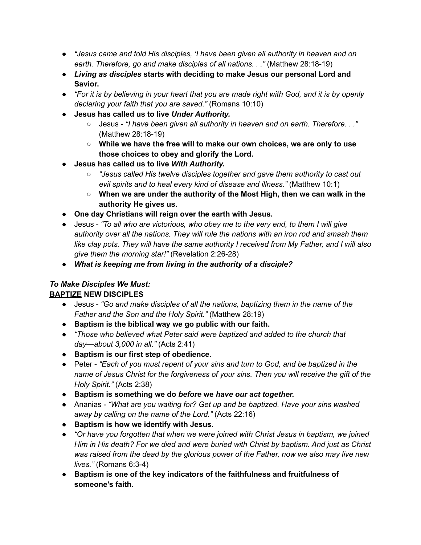- *● "Jesus came and told His disciples, 'I have been given all authority in heaven and on earth. Therefore, go and make disciples of all nations. . ."* (Matthew 28:18-19)
- *● Living as disciples* **starts with deciding to make Jesus our personal Lord and Savior.**
- "For it is by believing in your heart that you are made right with God, and it is by openly *declaring your faith that you are saved."* (Romans 10:10)
- **● Jesus has called us to live** *Under Authority.*
	- *○* Jesus *"I have been given all authority in heaven and on earth. Therefore. . ."* (Matthew 28:18-19)
	- **○ While we have the free will to make our own choices, we are only to use those choices to obey and glorify the Lord.**
- **● Jesus has called us to live** *With Authority.*
	- *○ "Jesus called His twelve disciples together and gave them authority to cast out evil spirits and to heal every kind of disease and illness."* (Matthew 10:1)
	- **○ When we are under the authority of the Most High, then we can walk in the authority He gives us.**
- **● One day Christians will reign over the earth with Jesus.**
- **●** Jesus *"To all who are victorious, who obey me to the very end, to them I will give authority over all the nations. They will rule the nations with an iron rod and smash them like clay pots. They will have the same authority I received from My Father, and I will also give them the morning star!"* (Revelation 2:26-28)
- *● What is keeping me from living in the authority of a disciple?*

## *To Make Disciples We Must:* **BAPTIZE NEW DISCIPLES**

- Jesus *"Go and make disciples of all the nations, baptizing them in the name of the*
	- *Father and the Son and the Holy Spirit."* (Matthew 28:19) **● Baptism is the biblical way we go public with our faith.**
	- *● "Those who believed what Peter said were baptized and added to the church that day—about 3,000 in all."* (Acts 2:41)
	- **● Baptism is our first step of obedience.**
	- Peter *"Each of you must repent of your sins and turn to God, and be baptized in the name of Jesus Christ for the forgiveness of your sins. Then you will receive the gift of the Holy Spirit."* (Acts 2:38)
	- **● Baptism is something we do** *before* **we** *have our act together.*
	- *●* Ananias *"What are you waiting for? Get up and be baptized. Have your sins washed away by calling on the name of the Lord."* (Acts 22:16)
	- **Baptism is how we identify with Jesus.**
	- *● "Or have you forgotten that when we were joined with Christ Jesus in baptism, we joined Him in His death? For we died and were buried with Christ by baptism. And just as Christ was raised from the dead by the glorious power of the Father, now we also may live new lives."* (Romans 6:3-4)
	- **● Baptism is one of the key indicators of the faithfulness and fruitfulness of someone's faith.**